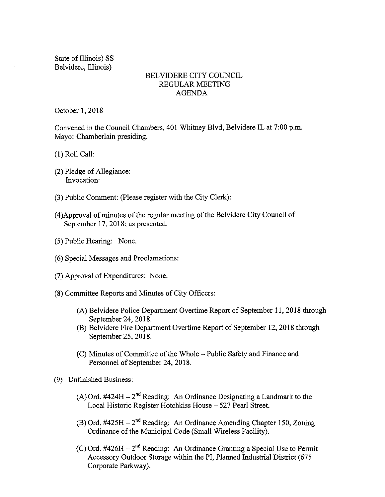State of Illinois) SS Belvidere, Illinois)

#### BELVIDERE CITY COUNCIL REGULAR MEETING AGENDA

October 1, 2018

Convened in the Council Chambers, 401 Whitney Blvd, Belvidere IL at 7:00 p.m. Mayor Chamberlain presiding.

- 1) Roll Call:
- 2) Pledge of Allegiance: Invocation:
- 3) Public Comment: ( Please register with the City Clerk):
- 4) Approval of minutes of the regular meeting of the Belvidere City Council of September 17, 2018; as presented.
- 5) Public Hearing: None.
- 6) Special Messages and Proclamations:
- 7) Approval of Expenditures: None.
- 8) Committee Reports and Minutes of City Officers:
	- A) Belvidere Police Department Overtime Report of September 11, 2018 through September 24, 2018.
	- B) Belvidere Fire Department Overtime Report of September 12, 2018 through September 25, 2018.
	- C) Minutes of Committee of the Whole— Public Safety and Finance and Personnel of September 24, 2018.
- 9) Unfinished Business:
	- (A) Ord.  $\#424H 2^{nd}$  Reading: An Ordinance Designating a Landmark to the Local Historic Register Hotchkiss House— 527 Pearl Street.
	- $(B)$  Ord. #425H 2<sup>nd</sup> Reading: An Ordinance Amending Chapter 150, Zoning Ordinance of the Municipal Code ( Small Wireless Facility).
	- (C) Ord. #426H  $-2<sup>nd</sup>$  Reading: An Ordinance Granting a Special Use to Permit Accessory Outdoor Storage within the PI, Planned Industrial District (675) Corporate Parkway).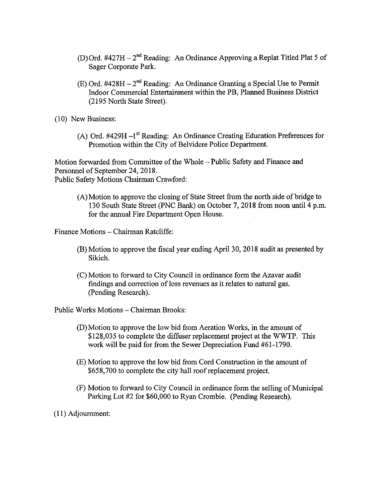- D) Ord. #427H 2<sup>nd</sup> Reading: An Ordinance Approving a Replat Titled Plat 5 of Sager Corporate Park.
- (E) Ord.  $\#428H 2^{nd}$  Reading: An Ordinance Granting a Special Use to Permit Indoor Commercial Entertainment within the PB, Planned Business District 2195 North State Street).
- 10) New Business:
	- (A) Ord.  $\#429H-I^{st}$  Reading: An Ordinance Creating Education Preferences for Promotion within the City of Belvidere Police Department.

Motion forwarded from Committee of the Whole—Public Safety and Finance and Personnel of September 24, 2018. Public Safety Motions Chairman Crawford:

A) Motion to approve the closing of State Street from the north side of bridge to 130 South State Street( PNC Bank) on October 7, 2018 from noon until 4 p.m. for the annual Fire Department Open House.

Finance Motions—Chairman Ratcliffe:

- B) Motion to approve the fiscal year ending April 30, 2018 audit as presented by Sikich.
- C) Motion to forward to City Council in ordinance form the Azavar audit findings and correction of loss revenues as it relates to natural gas. Pending Research).

Public Works Motions— Chairman Brooks:

- D) Motion to approve the low bid from Aeration Works, in the amount of \$128,035 to complete the diffuser replacement project at the WWTP. This work will be paid for from the Sewer Depreciation Fund #61-1790.
- E) Motion to approve the low bid from Cord Construction in the amount of 658, 700 to complete the city hall roof replacement project.
- F) Motion to forward to City Council in ordinance form the selling of Municipal Parking Lot #2 for \$60,000 to Ryan Crombie. (Pending Research).

I1) Adjournment: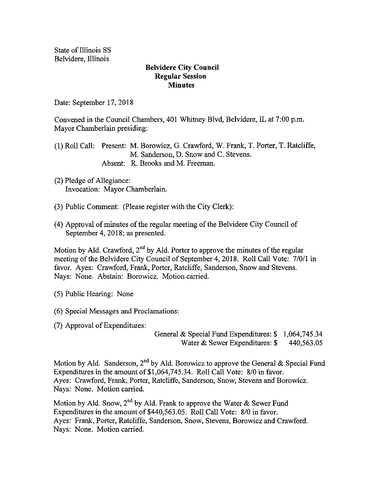State of Illinois SS Belvidere, Illinois

#### Belvidere City Council Regular Session **Minutes**

Date: September 17, 2018

Convened in the Council Chambers, 401 Whitney Blvd, Belvidere, IL at 7:00 p.m. Mayor Chamberlain presiding:

1) Roll Call: Present: M. Borowicz, G. Crawford, W. Frank, T. Porter, T. Ratcliffe, M. Sanderson, D. Snow and C. Stevens. Absent: R. Brooks and M. Freeman.

- 2) Pledge of Allegiance: Invocation: Mayor Chamberlain.
- 3) Public Comment: ( Please register with the City Clerk):
- 4) Approval of minutes of the regular meeting of the Belvidere City Council of September 4, 2018; as presented.

Motion by Ald. Crawford,  $2<sup>nd</sup>$  by Ald. Porter to approve the minutes of the regular meeting of the Belvidere City Council of September 4, 2018. Roll Call Vote: 7/0/1 in favor. Ayes: Crawford, Frank, Porter, Ratcliffe, Sanderson, Snow and Stevens. Nays: None. Abstain: Borowicz. Motion carried.

5) Public Hearing: None

- 6) Special Messages and Proclamations:
- 7) Approval of Expenditures:

General & Special Fund Expenditures: \$ 1,064,745.34 Water & Sewer Expenditures: \$ 440,563,05

Motion by Ald. Sanderson, 2<sup>nd</sup> by Ald. Borowicz to approve the General & Special Fund Expenditures in the amount of \$1,064,745.34. Roll Call Vote: 8/0 in favor. Ayes: Crawford, Frank, Porter, Ratcliffe, Sanderson, Snow, Stevens and Borowicz. Nays: None. Motion carried.

Motion by Ald. Snow, 2<sup>nd</sup> by Ald. Frank to approve the Water & Sewer Fund Expenditures in the amount of \$440, 563.05. Roll Call Vote: 8/0 in favor. Ayes: Frank, Porter, Ratcliffe, Sanderson, Snow, Stevens, Borowicz and Crawford. Nays: None. Motion carried.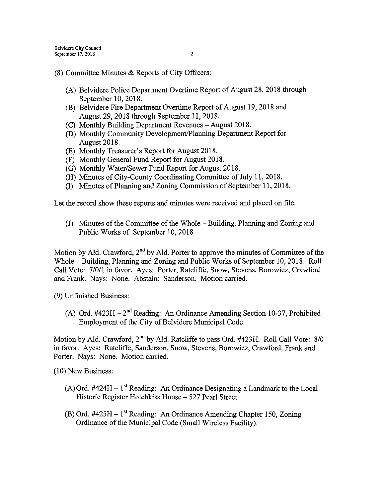- 8) Committee Minutes & Reports of City Officers:
	- A) Belvidere Police Department Overtime Report of August 28, 2018 through September 10, 2018.
	- (B) Belvidere Fire Department Overtime Report of August 19, 2018 and August 29, 2018 through September 11, 2018.
	- C) Monthly Building Department Revenues August 2018.
	- (D) Monthly Community Development/Planning Department Report for August 2018.
	- (E) Monthly Treasurer's Report for August 2018.
	- F) Monthly General Fund Report for August 2018.
	- (G) Monthly Water/Sewer Fund Report for August 2018.
	- H) Minutes of City-County Coordinating Committee of July 11, 2018.
	- I) Minutes of Planning and Zoning Commission of September 11, 2018.

Let the record show these reports and minutes were received and placed on file.

J) Minutes of the Committee of the Whole— Building, Planning and Zoning and Public Works of September 10, 2018

Motion by Ald. Crawford,  $2<sup>nd</sup>$  by Ald. Porter to approve the minutes of Committee of the Whole— Building, Planning and Zoning and Public Works of September 10, 2018. Roll Call Vote: 7/0/1 in favor. Ayes: Porter, Ratcliffe, Snow, Stevens, Borowicz, Crawford and Frank. Nays: None. Abstain: Sanderson. Motion carried.

9) Unfinished Business:

A) Ord.  $\#423H - 2^{nd}$  Reading: An Ordinance Amending Section 10-37, Prohibited Employment of the City of Belvidere Municipal Code.

Motion by Ald. Crawford,  $2^{nd}$  by Ald. Ratcliffe to pass Ord. #423H. Roll Call Vote:  $8/0$ in favor. Ayes: Ratcliffe, Sanderson, Snow, Stevens, Borowicz, Crawford, Frank and Porter. Nays: None. Motion carried.

10) New Business:

- $(A)$  Ord. #424H 1<sup>st</sup> Reading: An Ordinance Designating a Landmark to the Local Historic Register Hotchkiss House— 527 Pearl Street.
- $(B)$  Ord. #425H 1<sup>st</sup> Reading: An Ordinance Amending Chapter 150, Zoning Ordinance of the Municipal Code ( Small Wireless Facility).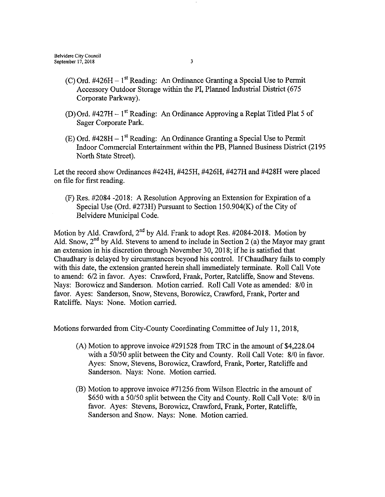- C) Ord. #426H 1<sup>st</sup> Reading: An Ordinance Granting a Special Use to Permit Accessory Outdoor Storage within the PI, Planned Industrial District( 675 Corporate Parkway).
- (D) Ord.  $\#427H 1^{st}$  Reading: An Ordinance Approving a Replat Titled Plat 5 of Sager Corporate Park.
- $(E)$  Ord. #428H 1<sup>st</sup> Reading: An Ordinance Granting a Special Use to Permit Indoor Commercial Entertainment within the PB, Planned Business District( 2195 North State Street).

Let the record show Ordinances  $\#424H$ ,  $\#425H$ ,  $\#426H$ ,  $\#427H$  and  $\#428H$  were placed on file for first reading.

F) Res. # 2084 - 2018: A Resolution Approving an Extension for Expiration of a Special Use (Ord.  $#273H$ ) Pursuant to Section 150.904(K) of the City of Belvidere Municipal Code.

Motion by Ald. Crawford,  $2^{nd}$  by Ald. Frank to adopt Res. #2084-2018. Motion by Ald. Snow,  $2^{nd}$  by Ald. Stevens to amend to include in Section 2 (a) the Mayor may grant an extension in his discretion through November 30, 2018; if he is satisfied that Chaudhary is delayed by circumstances beyond his control. If Chaudhary fails to comply with this date, the extension granted herein shall immediately terminate. Roll Call Vote to amend: 6/2 in favor. Ayes: Crawford, Frank, Porter, Ratcliffe, Snow and Stevens. Nays: Borowicz and Sanderson. Motion carried. Roll Call Vote as amended: 8/0 in favor. Ayes: Sanderson, Snow, Stevens, Borowicz, Crawford, Frank, Porter and Ratcliffe. Nays: None. Motion carried.

Motions forwarded from City-County Coordinating Committee of July 11, 2018,

- $(A)$  Motion to approve invoice #291528 from TRC in the amount of \$4,228.04 with a 50/50 split between the City and County. Roll Call Vote: 8/0 in favor. Ayes: Snow, Stevens, Borowicz, Crawford, Frank, Porter, Ratcliffe and Sanderson. Nays: None. Motion carried.
- B) Motion to approve invoice # 71256 from Wilson Electric in the amount of \$650 with a 50/50 split between the City and County. Roll Call Vote: 8/0 in favor. Ayes: Stevens, Borowicz, Crawford, Frank, Porter, Ratcliffe, Sanderson and Snow. Nays: None. Motion carried.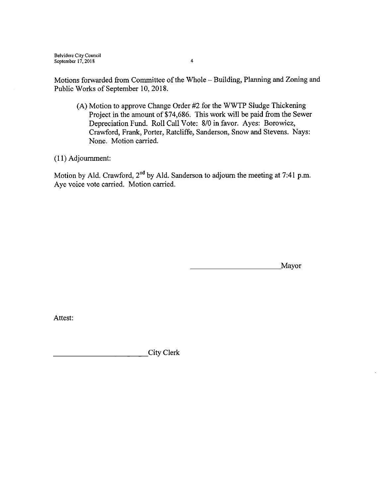Belvidere City Council September 17, 2018 4

Motions forwarded from Committee of the Whole - Building, Planning and Zoning and Public Works of September 10, 2018.

(A) Motion to approve Change Order #2 for the WWTP Sludge Thickening Project in the amount of \$74,686. This work will be paid from the Sewer Depreciation Fund. Roll Call Vote: 8/0 in favor. Ayes: Borowicz, Crawford, Frank, Porter, Ratcliffe, Sanderson, Snow and Stevens. Nays: None. Motion carried.

I1) Adjournment:

Motion by Ald. Crawford,  $2^{nd}$  by Ald. Sanderson to adjourn the meeting at 7:41 p.m. Aye voice vote carried. Motion carried.

Mayor

Attest:

City Clerk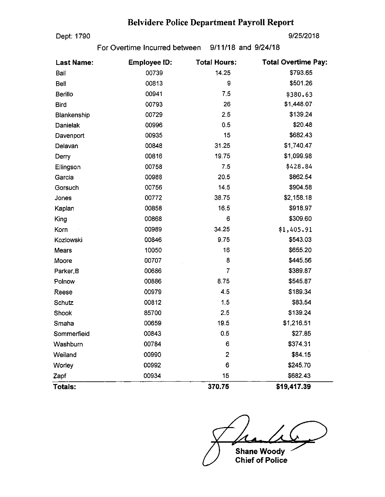# Belvidere Police Department Payroll Report

Dept: 1790 9/25/2018

For Overtime Incurred between 9/11/18 and 9/24/18

| <b>Last Name:</b> | <b>Employee ID:</b> | <b>Total Hours:</b> | <b>Total Overtime Pay:</b> |  |  |  |
|-------------------|---------------------|---------------------|----------------------------|--|--|--|
| Ball              | 00739               | 14.25               | \$793.65                   |  |  |  |
| Bell              | 00813               | 9                   | \$501.26                   |  |  |  |
| Berillo           | 00941               | 7.5                 | \$380.63                   |  |  |  |
| <b>Bird</b>       | 00793               | 26                  | \$1,448.07                 |  |  |  |
| Blankenship       | 00729               | 2.5                 | \$139.24                   |  |  |  |
| <b>Danielak</b>   | 00996               | 0.5                 | \$20.48                    |  |  |  |
| Davenport         | 00935               | 15                  | \$682.43                   |  |  |  |
| Delavan           | 00848               | 31.25               | \$1,740.47                 |  |  |  |
| Derry             | 00816               | 19.75               | \$1,099.98                 |  |  |  |
| Ellingson         | 00758               | 7.5                 | \$428.84                   |  |  |  |
| Garcia            | 00988               | 20.5                | \$862.54                   |  |  |  |
| Gorsuch           | 00756               | 14.5                | \$904.58                   |  |  |  |
| Jones             | 00772               | 38.75               | \$2,158.18                 |  |  |  |
| Kaplan            | 00858               | 16.5                | \$918.97                   |  |  |  |
| King              | 00868               | 6                   | \$309.60                   |  |  |  |
| Korn              | 00989               | 34.25               | \$1,405.91                 |  |  |  |
| Kozlowski         | 00846               | 9.75                | \$543.03                   |  |  |  |
| Mears             | 10050               | 16                  | \$655.20                   |  |  |  |
| Moore             | 00707               | 8                   | \$445.56                   |  |  |  |
| Parker, B         | 00686               | $\overline{7}$      | \$389.87                   |  |  |  |
| Polnow            | 00886               | 875                 | \$545.87                   |  |  |  |
| Reese             | 00979               | 4.5                 | \$189.34                   |  |  |  |
| Schutz            | 00812               | 1.5                 | \$83.54                    |  |  |  |
| Shook             | 85700               | 2.5                 | \$139.24                   |  |  |  |
| Smaha             | 00659               | 19.5                | \$1,216.51                 |  |  |  |
| Sommerfield       | 00843               | 0.5                 | \$27.85                    |  |  |  |
| Washburn          | 00784               | 6                   | \$374.31                   |  |  |  |
| Weiland           | 00990               | $\overline{2}$      | \$84.15                    |  |  |  |
| Worley            | 00992               | 6                   | \$245.70                   |  |  |  |
| Zapf              | 00934               | 15                  | \$682.43                   |  |  |  |
| Totals:           |                     | 370.75              | \$19,417.39                |  |  |  |

 $\sqrt{4}$ Shane Woody

Chief of Police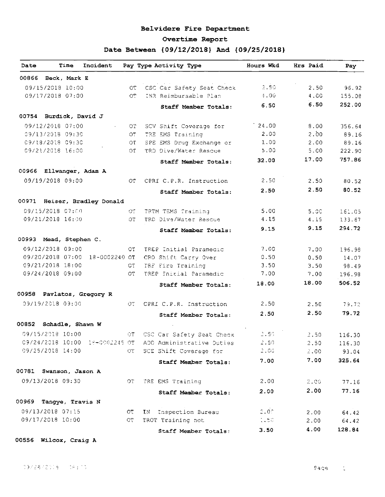#### Belvidere Fire Department

#### Overtime Report

## Date Between { 09/12/2018} And { 09/25/2018}

| Beck, Mark E<br>00866<br>$2 - 50$<br>09/15/2018 10:00<br>CSC Car Safety Seat Check<br>2.50<br>OT.<br>09/17/2018 07:00<br>INR Reimbursable Plan<br>4.00<br>4.00<br>OT.<br>6.50<br>6.50<br>Staff Member Totals:<br>00754 Burdick, David J<br>24.00<br>8.00<br>09/12/2018 07:00<br>SCV Shift Coverage for<br>OT.<br>2.00<br>2.00<br>09/13/2018 09:30<br>TRE EMS Training<br>O٣<br>1,00<br>09/18/2018 09:30<br>2.00<br>SPE EMS Drug Exchange or<br>OT.<br>5.00<br>09/21/2018 16:00<br>TRD Dive/Water Rescue<br>5.00<br>ОT<br>17.00<br>32.00<br>Staff Member Totals:<br>00966 Ellwanger, Adam A<br>2.50<br>09/19/2018 09:00<br>CPRI C.P.R. Instruction<br>2.50<br>ОT<br>2.50<br>2.50<br>Staff Member Totals:<br>09/15/2018 07:00<br>5.00<br>TRTM TEMS Training<br>5.00<br>OT.<br>09/21/2018 16:00<br>TRD Dive/Water Rescue<br>4 15<br>4.15<br>OT.<br>9.15<br>9.15<br>Staff Member Totals:<br>09/12/2018 09:00<br>7.00<br>TREP Initial Paramedic<br>7.00<br>ОT<br>09/20/2018 07:00 18-0002240 OT<br>0.50<br>CRO Shift Carry Over<br>0.50<br>09/21/2018 18:00<br>3.50<br>CT.<br>TRE Fire Training<br>3.50<br>09/24/2018 09:00<br>7.00<br>0T<br>TREP Initial Paramedic<br>7.00<br>18.00<br>18.00<br>Staff Member Totals:<br>09/19/2018 09:00<br>CPRI C.P.R. Instruction<br>2.50<br>OT.<br>2.50 | 96.92<br>155.08<br>252.00<br>356.64<br>89.16<br>89.16<br>222.90<br>757.86 |
|----------------------------------------------------------------------------------------------------------------------------------------------------------------------------------------------------------------------------------------------------------------------------------------------------------------------------------------------------------------------------------------------------------------------------------------------------------------------------------------------------------------------------------------------------------------------------------------------------------------------------------------------------------------------------------------------------------------------------------------------------------------------------------------------------------------------------------------------------------------------------------------------------------------------------------------------------------------------------------------------------------------------------------------------------------------------------------------------------------------------------------------------------------------------------------------------------------------------------------------------------------------------------------------|---------------------------------------------------------------------------|
|                                                                                                                                                                                                                                                                                                                                                                                                                                                                                                                                                                                                                                                                                                                                                                                                                                                                                                                                                                                                                                                                                                                                                                                                                                                                                        |                                                                           |
|                                                                                                                                                                                                                                                                                                                                                                                                                                                                                                                                                                                                                                                                                                                                                                                                                                                                                                                                                                                                                                                                                                                                                                                                                                                                                        |                                                                           |
|                                                                                                                                                                                                                                                                                                                                                                                                                                                                                                                                                                                                                                                                                                                                                                                                                                                                                                                                                                                                                                                                                                                                                                                                                                                                                        |                                                                           |
|                                                                                                                                                                                                                                                                                                                                                                                                                                                                                                                                                                                                                                                                                                                                                                                                                                                                                                                                                                                                                                                                                                                                                                                                                                                                                        |                                                                           |
|                                                                                                                                                                                                                                                                                                                                                                                                                                                                                                                                                                                                                                                                                                                                                                                                                                                                                                                                                                                                                                                                                                                                                                                                                                                                                        |                                                                           |
| 00971 Heiser, Bradley Donald<br>00993 Mead, Stephen C.                                                                                                                                                                                                                                                                                                                                                                                                                                                                                                                                                                                                                                                                                                                                                                                                                                                                                                                                                                                                                                                                                                                                                                                                                                 |                                                                           |
|                                                                                                                                                                                                                                                                                                                                                                                                                                                                                                                                                                                                                                                                                                                                                                                                                                                                                                                                                                                                                                                                                                                                                                                                                                                                                        |                                                                           |
|                                                                                                                                                                                                                                                                                                                                                                                                                                                                                                                                                                                                                                                                                                                                                                                                                                                                                                                                                                                                                                                                                                                                                                                                                                                                                        |                                                                           |
|                                                                                                                                                                                                                                                                                                                                                                                                                                                                                                                                                                                                                                                                                                                                                                                                                                                                                                                                                                                                                                                                                                                                                                                                                                                                                        |                                                                           |
|                                                                                                                                                                                                                                                                                                                                                                                                                                                                                                                                                                                                                                                                                                                                                                                                                                                                                                                                                                                                                                                                                                                                                                                                                                                                                        |                                                                           |
|                                                                                                                                                                                                                                                                                                                                                                                                                                                                                                                                                                                                                                                                                                                                                                                                                                                                                                                                                                                                                                                                                                                                                                                                                                                                                        |                                                                           |
|                                                                                                                                                                                                                                                                                                                                                                                                                                                                                                                                                                                                                                                                                                                                                                                                                                                                                                                                                                                                                                                                                                                                                                                                                                                                                        | 80.52                                                                     |
|                                                                                                                                                                                                                                                                                                                                                                                                                                                                                                                                                                                                                                                                                                                                                                                                                                                                                                                                                                                                                                                                                                                                                                                                                                                                                        | 80.52                                                                     |
|                                                                                                                                                                                                                                                                                                                                                                                                                                                                                                                                                                                                                                                                                                                                                                                                                                                                                                                                                                                                                                                                                                                                                                                                                                                                                        |                                                                           |
|                                                                                                                                                                                                                                                                                                                                                                                                                                                                                                                                                                                                                                                                                                                                                                                                                                                                                                                                                                                                                                                                                                                                                                                                                                                                                        |                                                                           |
| 00958 Pavlatos, Gregory R                                                                                                                                                                                                                                                                                                                                                                                                                                                                                                                                                                                                                                                                                                                                                                                                                                                                                                                                                                                                                                                                                                                                                                                                                                                              | 161.05                                                                    |
|                                                                                                                                                                                                                                                                                                                                                                                                                                                                                                                                                                                                                                                                                                                                                                                                                                                                                                                                                                                                                                                                                                                                                                                                                                                                                        | 133.67<br>294.72                                                          |
|                                                                                                                                                                                                                                                                                                                                                                                                                                                                                                                                                                                                                                                                                                                                                                                                                                                                                                                                                                                                                                                                                                                                                                                                                                                                                        |                                                                           |
|                                                                                                                                                                                                                                                                                                                                                                                                                                                                                                                                                                                                                                                                                                                                                                                                                                                                                                                                                                                                                                                                                                                                                                                                                                                                                        |                                                                           |
|                                                                                                                                                                                                                                                                                                                                                                                                                                                                                                                                                                                                                                                                                                                                                                                                                                                                                                                                                                                                                                                                                                                                                                                                                                                                                        | 196.98                                                                    |
|                                                                                                                                                                                                                                                                                                                                                                                                                                                                                                                                                                                                                                                                                                                                                                                                                                                                                                                                                                                                                                                                                                                                                                                                                                                                                        | 14.07                                                                     |
|                                                                                                                                                                                                                                                                                                                                                                                                                                                                                                                                                                                                                                                                                                                                                                                                                                                                                                                                                                                                                                                                                                                                                                                                                                                                                        | 98.49                                                                     |
|                                                                                                                                                                                                                                                                                                                                                                                                                                                                                                                                                                                                                                                                                                                                                                                                                                                                                                                                                                                                                                                                                                                                                                                                                                                                                        | 196.98                                                                    |
|                                                                                                                                                                                                                                                                                                                                                                                                                                                                                                                                                                                                                                                                                                                                                                                                                                                                                                                                                                                                                                                                                                                                                                                                                                                                                        | 506.52                                                                    |
|                                                                                                                                                                                                                                                                                                                                                                                                                                                                                                                                                                                                                                                                                                                                                                                                                                                                                                                                                                                                                                                                                                                                                                                                                                                                                        |                                                                           |
|                                                                                                                                                                                                                                                                                                                                                                                                                                                                                                                                                                                                                                                                                                                                                                                                                                                                                                                                                                                                                                                                                                                                                                                                                                                                                        | 79.72                                                                     |
| 2.50<br>2.50<br>Staff Member Totals:                                                                                                                                                                                                                                                                                                                                                                                                                                                                                                                                                                                                                                                                                                                                                                                                                                                                                                                                                                                                                                                                                                                                                                                                                                                   | 79.72                                                                     |
| 00852 Schadle, Shawn W                                                                                                                                                                                                                                                                                                                                                                                                                                                                                                                                                                                                                                                                                                                                                                                                                                                                                                                                                                                                                                                                                                                                                                                                                                                                 |                                                                           |
| 09/15/2018 10:00<br>2.55<br>OT.<br>CSC Car Safety Seat Check<br>2.50                                                                                                                                                                                                                                                                                                                                                                                                                                                                                                                                                                                                                                                                                                                                                                                                                                                                                                                                                                                                                                                                                                                                                                                                                   | 116.30                                                                    |
| 09/24/2018 10:00 18-0002245 OT ADD Administrative Duties<br>2.50<br>2.50                                                                                                                                                                                                                                                                                                                                                                                                                                                                                                                                                                                                                                                                                                                                                                                                                                                                                                                                                                                                                                                                                                                                                                                                               | 116.30                                                                    |
| 09/25/2018 14:00<br>2.00<br>$\overline{\text{OT}}$<br>SCE Shift Coverage for<br>2.00                                                                                                                                                                                                                                                                                                                                                                                                                                                                                                                                                                                                                                                                                                                                                                                                                                                                                                                                                                                                                                                                                                                                                                                                   | 93.04                                                                     |
| 7.00<br>7.00<br>Staff Member Totals:                                                                                                                                                                                                                                                                                                                                                                                                                                                                                                                                                                                                                                                                                                                                                                                                                                                                                                                                                                                                                                                                                                                                                                                                                                                   | 325.64                                                                    |
| 00781 Swanson, Jason A                                                                                                                                                                                                                                                                                                                                                                                                                                                                                                                                                                                                                                                                                                                                                                                                                                                                                                                                                                                                                                                                                                                                                                                                                                                                 |                                                                           |
| 09/13/2018 09:30<br>2.00<br>ОT<br>TRE EMS Training<br>2.00                                                                                                                                                                                                                                                                                                                                                                                                                                                                                                                                                                                                                                                                                                                                                                                                                                                                                                                                                                                                                                                                                                                                                                                                                             | 77.16                                                                     |
| 2.00<br>2.00<br>Staff Member Totals:                                                                                                                                                                                                                                                                                                                                                                                                                                                                                                                                                                                                                                                                                                                                                                                                                                                                                                                                                                                                                                                                                                                                                                                                                                                   | 77.16                                                                     |
| 00969 -<br>Tangye, Travis N                                                                                                                                                                                                                                                                                                                                                                                                                                                                                                                                                                                                                                                                                                                                                                                                                                                                                                                                                                                                                                                                                                                                                                                                                                                            |                                                                           |
| 09/13/2018 07:15<br>2.01<br>IN Inspection Bureau<br><b>CT</b><br>2.00                                                                                                                                                                                                                                                                                                                                                                                                                                                                                                                                                                                                                                                                                                                                                                                                                                                                                                                                                                                                                                                                                                                                                                                                                  | 64.42                                                                     |
| 09/17/2018 10:00<br>ОŤ<br>TROT Training not<br>$-50$<br>2.00                                                                                                                                                                                                                                                                                                                                                                                                                                                                                                                                                                                                                                                                                                                                                                                                                                                                                                                                                                                                                                                                                                                                                                                                                           | 64.42                                                                     |
| 4.00<br>3.50<br>Staff Member Totals:                                                                                                                                                                                                                                                                                                                                                                                                                                                                                                                                                                                                                                                                                                                                                                                                                                                                                                                                                                                                                                                                                                                                                                                                                                                   | 128.84                                                                    |

00556 Wilcox, Craig <sup>A</sup>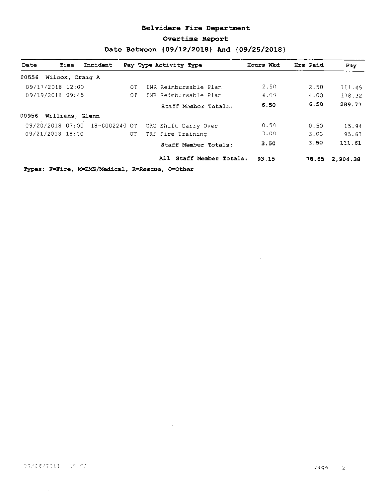#### Belvidere Fire Department

#### Overtime Report

## Date Between { 09/12/2018} And { 09/25/2018}

| Wilcox, Craig A<br>09/17/2018 12:00<br>09/19/2018 09:45 | OТ        | INR Reimbursable Plan          |       |                          |                                                                              |
|---------------------------------------------------------|-----------|--------------------------------|-------|--------------------------|------------------------------------------------------------------------------|
|                                                         |           |                                |       |                          |                                                                              |
|                                                         |           |                                | 2.50  | 2.50                     | 111.45                                                                       |
|                                                         | $\circ$ c | INR Reimbursable Plan          | 4.00  | 4.00                     | 178.32                                                                       |
|                                                         |           | Staff Member Totals:           | 6.50  | 6.50                     | 289.77                                                                       |
| 00956 Williams, Glenn                                   |           |                                |       |                          |                                                                              |
|                                                         |           | CRO Shift Carry Over           | 0.50  | 0.50                     | 15.94                                                                        |
| 09/21/2018 18:00                                        | OT        | TRF Fire Training              | 3.00  | 3.00                     | 95.67                                                                        |
|                                                         |           | Staff Member Totals:           | 3.50  | 3.50                     | 111.61                                                                       |
|                                                         |           |                                | 93.15 | 78.65                    | 2,904.38                                                                     |
|                                                         |           | 09/20/2018 07:00 18-0002240 OT |       | All Staff Member Totals: | $T_{T}$ mas: $F = F + m$ , $M = FMC/M$ adian), $D = D$ adaya, $D = O + h$ am |

 $\sim 10^{-1}$ 

 $\mathcal{L}(\mathcal{A})$  and  $\mathcal{L}(\mathcal{A})$ 

 $\sim 10^{-10}$ 

Types: F=Fire, M=EMS/Medical, R=Rescue, O=Other

 $\sim 10^7$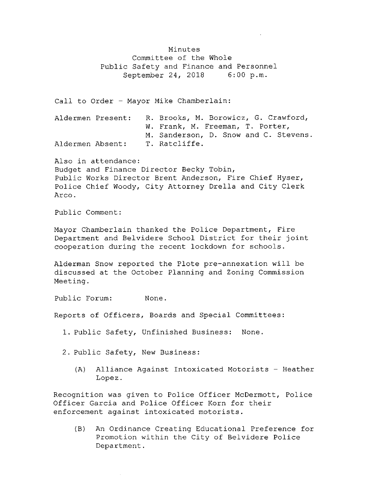Minutes Committee of the Whole Public Safety and Finance and Personnel<br>September 24, 2018 6:00 p.m. September 24, 2018

Call to Order - Mayor Mike Chamberlain:

|                  | Aldermen Present: | R. Brooks, M. Borowicz, G. Crawford,  |  |  |  |
|------------------|-------------------|---------------------------------------|--|--|--|
|                  |                   | W. Frank, M. Freeman, T. Porter,      |  |  |  |
|                  |                   | M. Sanderson, D. Snow and C. Stevens. |  |  |  |
| Aldermen Absent: |                   | T. Ratcliffe.                         |  |  |  |

Also in attendance: Budget and Finance Director Becky Tobin, Public Works Director Brent Anderson, Fire Chief Hyser, Police Chief Woody, City Attorney Drella and City Clerk Arco.

Public Comment:

Mayor Chamberlain thanked the Police Department, Fire Department and Belvidere School District for their joint cooperation during the recent lockdown for schools .

Alderman Snow reported the Plote pre-annexation will be discussed at the October Planning and Zoning Commission Meeting.

Public Forum: None.

Reports of Officers, Boards and Special Committees :

- 1. Public Safety, Unfinished Business: None .
- 2. Public Safety, New Business:
	- (A) Alliance Against Intoxicated Motorists Heather Lopez.

Recognition was given to Police Officer McDermott, Police Officer Garcia and Police Officer Korn for their enforcement against intoxicated motorists .

B) An Ordinance Creating Educational Preference for Promotion within the City of Belvidere Police Department .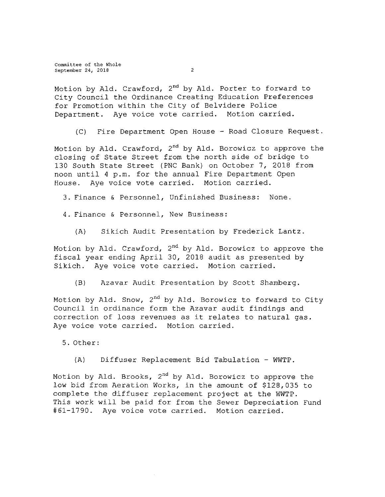Committee of the Whole September 24, 2018 2

Motion by Ald. Crawford, 2<sup>nd</sup> by Ald. Porter to forward to City Council the Ordinance Creating Education Preferences for Promotion within the City of Belvidere Police Department. Aye voice vote carried. Motion carried.

C) Fire Department Open House - Road Closure Request .

Motion by Ald. Crawford, 2<sup>nd</sup> by Ald. Borowicz to approve the closing of State Street from the north side of bridge to <sup>130</sup> South State Street (PNC Bank) on October 7, 2018 from noon until 4 p.m. for the annual Fire Department Open House. Aye voice vote carried. Motion carried.

3. Finance & Personnel, Unfinished Business: None.

- 4 . Finance & Personnel, New Business :
	- A) Sikich Audit Presentation by Frederick Lantz .

Motion by Ald. Crawford, 2<sup>nd</sup> by Ald. Borowicz to approve the fiscal year ending April 30, <sup>2018</sup> audit as presented by Sikich. Aye voice vote carried. Motion carried.

B) Azavar Audit Presentation by Scott Shamberg.

Motion by Ald. Snow,  $2^{nd}$  by Ald. Borowicz to forward to City Council in ordinance form the Azavar audit findings and correction of loss revenues as it relates to natural gas. Aye voice vote carried. Motion carried.

5 . Other:

A) Diffuser Replacement Bid Tabulation - WWTP.

Motion by Ald. Brooks, 2<sup>nd</sup> by Ald. Borowicz to approve the low bid from Aeration Works, in the amount of \$128, 035 to complete the diffuser replacement project at the WWTP. This work will be paid for from the Sewer Depreciation Fund #61-1790. Aye voice vote carried. Motion carried.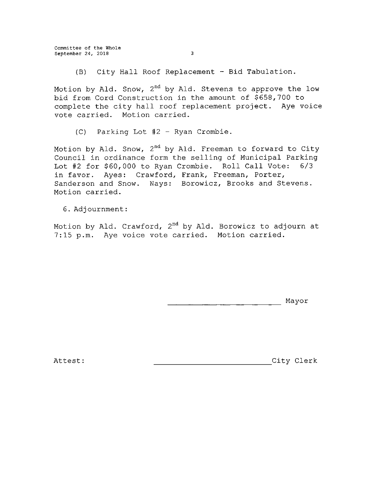Committee of the Whole September 24, 2018 3

(B) City Hall Roof Replacement - Bid Tabulation.

Motion by Ald. Snow, 2<sup>nd</sup> by Ald. Stevens to approve the low bid from Cord Construction in the amount of \$658, 700 to complete the city hall roof replacement project. Aye voice vote carried. Motion carried.

 $(C)$  Parking Lot #2 - Ryan Crombie.

Motion by Ald. Snow,  $2^{\sf{nd}}$  by Ald. Freeman to forward to City Council in ordinance form the selling of Municipal Parking Lot #2 for \$60,000 to Ryan Crombie. Roll Call Vote: 6/3 in favor. Ayes: Crawford, Frank, Freeman, Porter, Sanderson and Snow. Nays: Borowicz, Brooks and Stevens . Motion carried.

6. Adjournment :

Motion by Ald. Crawford, 2<sup>nd</sup> by Ald. Borowicz to adjourn at 7:15 p.m. Aye voice vote carried. Motion carried.

Mayor

Attest : City Clerk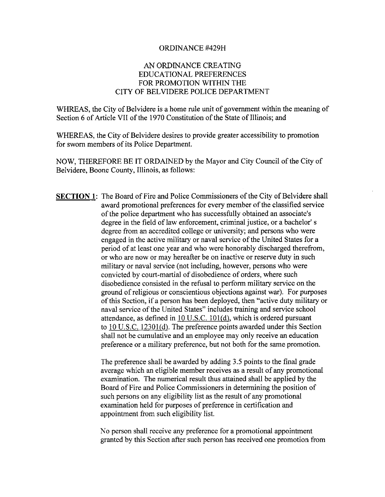#### ORDINANCE #429H

## AN ORDINANCE CREATING EDUCATIONAL PREFERENCES FOR PROMOTION WITHIN THE CITY OF BELVIDERE POLICE DEPARTMENT

WHREAS, the City of Belvidere is a home rule unit of government within the meaning of Section 6 of Article VII of the 1970 Constitution of the State of Illinois; and

WHEREAS, the City of Belvidere desires to provide greater accessibility to promotion for sworn members of its Police Department.

NOW, THEREFORE BE IT ORDAINED by the Mayor and City Council of the City of Belvidere, Boone County, Illinois, as follows:

SECTION 1: The Board of Fire and Police Commissioners of the City of Belvidere shall award promotional preferences for every member of the classified service of the police department who has successfully obtained an associate' <sup>s</sup> degree in the field of law enforcement, criminal justice, or a bachelor' s degree from an accredited college or university; and persons who were engaged in the active military or naval service of the United States for a period of at least one year and who were honorably discharged therefrom, or who are now or may hereafter be on inactive or reserve duty in such military or naval service ( not including, however, persons who were convicted by court-martial of disobedience of orders, where such disobedience consisted in the refusal to perform military service on the ground of religious or conscientious objections against war). For purposes of this Section, if <sup>a</sup> person has been deployed, then" active duty military or naval service of the United States" includes training and service school attendance, as defined in  $10$  U.S.C.  $101(d)$ , which is ordered pursuant to 10 U.S.C. 12301(d). The preference points awarded under this Section shall not be cumulative and an employee may only receive an education preference or a military preference, but not both for the same promotion.

> The preference shall be awarded by adding 3.5 points to the final grade average which an eligible member receives as <sup>a</sup> result of any promotional examination. The numerical result thus attained shall be applied by the Board of Fire and Police Commissioners in determining the position of such persons on any eligibility list as the result of any promotional examination held for purposes of preference in certification and appointment from such eligibility list.

> No person shall receive any preference for a promotional appointment granted by this Section after such person has received one promotion from